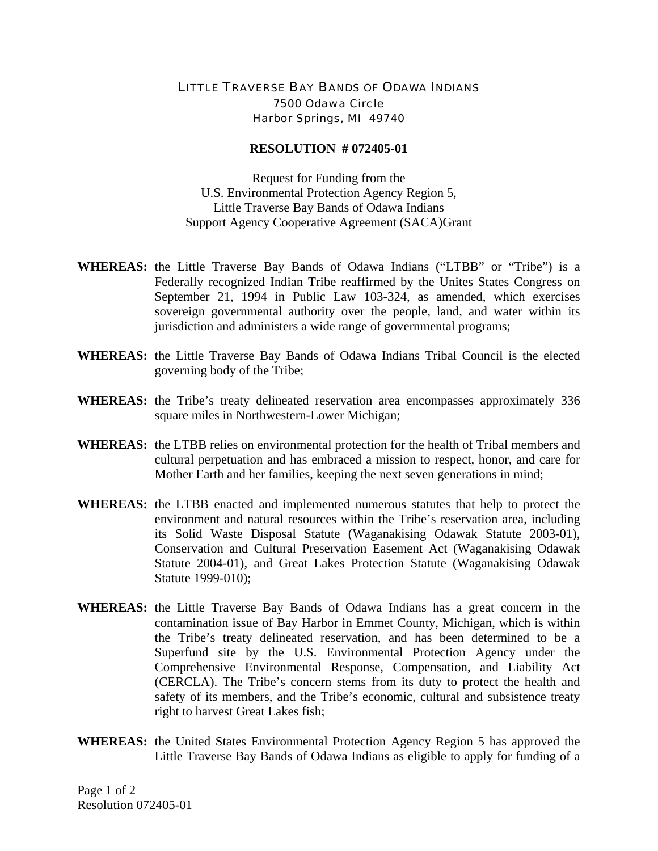## LITTLE TRAVERSE BAY BANDS OF ODAWA INDIANS 7500 Odawa Circle Harbor Springs, MI 49740

## **RESOLUTION # 072405-01**

Request for Funding from the U.S. Environmental Protection Agency Region 5, Little Traverse Bay Bands of Odawa Indians Support Agency Cooperative Agreement (SACA)Grant

- **WHEREAS:** the Little Traverse Bay Bands of Odawa Indians ("LTBB" or "Tribe") is a Federally recognized Indian Tribe reaffirmed by the Unites States Congress on September 21, 1994 in Public Law 103-324, as amended, which exercises sovereign governmental authority over the people, land, and water within its jurisdiction and administers a wide range of governmental programs;
- **WHEREAS:** the Little Traverse Bay Bands of Odawa Indians Tribal Council is the elected governing body of the Tribe;
- **WHEREAS:** the Tribe's treaty delineated reservation area encompasses approximately 336 square miles in Northwestern-Lower Michigan;
- **WHEREAS:** the LTBB relies on environmental protection for the health of Tribal members and cultural perpetuation and has embraced a mission to respect, honor, and care for Mother Earth and her families, keeping the next seven generations in mind;
- **WHEREAS:** the LTBB enacted and implemented numerous statutes that help to protect the environment and natural resources within the Tribe's reservation area, including its Solid Waste Disposal Statute (Waganakising Odawak Statute 2003-01), Conservation and Cultural Preservation Easement Act (Waganakising Odawak Statute 2004-01), and Great Lakes Protection Statute (Waganakising Odawak Statute 1999-010);
- **WHEREAS:** the Little Traverse Bay Bands of Odawa Indians has a great concern in the contamination issue of Bay Harbor in Emmet County, Michigan, which is within the Tribe's treaty delineated reservation, and has been determined to be a Superfund site by the U.S. Environmental Protection Agency under the Comprehensive Environmental Response, Compensation, and Liability Act (CERCLA). The Tribe's concern stems from its duty to protect the health and safety of its members, and the Tribe's economic, cultural and subsistence treaty right to harvest Great Lakes fish;
- **WHEREAS:** the United States Environmental Protection Agency Region 5 has approved the Little Traverse Bay Bands of Odawa Indians as eligible to apply for funding of a

Page 1 of 2 Resolution 072405-01